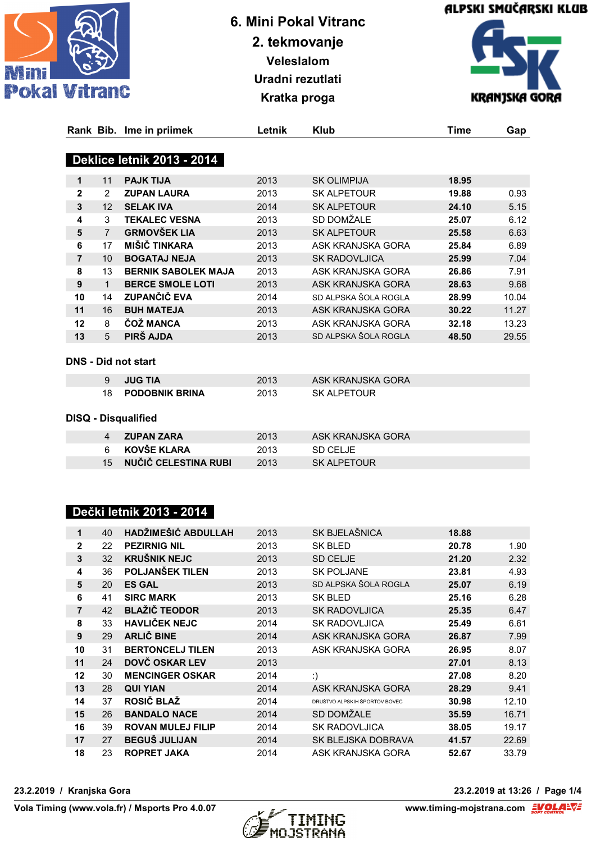





|                |                   | Rank Bib. Ime in priimek          | Letnik | <b>Klub</b>          | Time  | Gap   |
|----------------|-------------------|-----------------------------------|--------|----------------------|-------|-------|
|                |                   | <b>Deklice letnik 2013 - 2014</b> |        |                      |       |       |
| 1              | 11                | <b>PAJK TIJA</b>                  | 2013   | <b>SK OLIMPIJA</b>   | 18.95 |       |
| $\mathbf{2}$   | $\overline{2}$    | <b>ZUPAN LAURA</b>                | 2013   | SK ALPETOUR          | 19.88 | 0.93  |
| 3              | $12 \overline{ }$ | <b>SELAK IVA</b>                  | 2014   | <b>SK ALPETOUR</b>   | 24.10 | 5.15  |
| 4              | 3                 | <b>TEKALEC VESNA</b>              | 2013   | SD DOMŽALE           | 25.07 | 6.12  |
| 5              | $\overline{7}$    | <b>GRMOVŠEK LIA</b>               | 2013   | <b>SK ALPETOUR</b>   | 25.58 | 6.63  |
| 6              | 17                | MIŠIČ TINKARA                     | 2013   | ASK KRANJSKA GORA    | 25.84 | 6.89  |
| $\overline{7}$ | 10 <sup>°</sup>   | <b>BOGATAJ NEJA</b>               | 2013   | <b>SK RADOVLJICA</b> | 25.99 | 7.04  |
| 8              | 13                | <b>BERNIK SABOLEK MAJA</b>        | 2013   | ASK KRANJSKA GORA    | 26.86 | 7.91  |
| 9              | $\mathbf 1$       | <b>BERCE SMOLE LOTI</b>           | 2013   | ASK KRANJSKA GORA    | 28.63 | 9.68  |
| 10             | 14                | <b>ZUPANČIĆ EVA</b>               | 2014   | SD ALPSKA ŠOLA ROGLA | 28.99 | 10.04 |
| 11             | 16                | <b>BUH MATEJA</b>                 | 2013   | ASK KRANJSKA GORA    | 30.22 | 11.27 |
| 12             | 8                 | <b>COZ MANCA</b>                  | 2013   | ASK KRANJSKA GORA    | 32.18 | 13.23 |
| 13             | 5                 | PIRŠ AJDA                         | 2013   | SD ALPSKA ŠOLA ROGLA | 48.50 | 29.55 |
|                |                   |                                   |        |                      |       |       |

#### **DNS - Did not start**

| <b>JUG TIA</b>        | 2013 | ASK KRANJSKA GORA |
|-----------------------|------|-------------------|
| <b>PODOBNIK BRINA</b> | 2013 | SK ALPETOUR       |

#### **DISQ - Disqualified**

| 4 ZUPAN ZARA            | 2013 | ASK KRANJSKA GORA |
|-------------------------|------|-------------------|
| 6 KOVŠE KLARA           | 2013 | -SD CELJE         |
| 15 NUČIČ CELESTINA RUBI | 2013 | SK ALPETOUR       |

## **Dečki letnik 2013 - 2014**

| 40 | HADŽIMEŠIĆ ABDULLAH      | 2013 | SK BJELAŠNICA                 | 18.88 |       |
|----|--------------------------|------|-------------------------------|-------|-------|
| 22 | <b>PEZIRNIG NIL</b>      | 2013 | <b>SK BLED</b>                | 20.78 | 1.90  |
| 32 | <b>KRUŠNIK NEJC</b>      | 2013 | SD CELJE                      | 21.20 | 2.32  |
| 36 | POLJANŠEK TILEN          | 2013 | <b>SK POLJANE</b>             | 23.81 | 4.93  |
| 20 | <b>ES GAL</b>            | 2013 | SD ALPSKA ŠOLA ROGLA          | 25.07 | 6.19  |
| 41 | <b>SIRC MARK</b>         | 2013 | SK BLED                       | 25.16 | 6.28  |
| 42 | <b>BLAŽIČ TEODOR</b>     | 2013 | <b>SK RADOVLJICA</b>          | 25.35 | 6.47  |
| 33 | <b>HAVLICEK NEJC</b>     | 2014 | <b>SK RADOVLJICA</b>          | 25.49 | 6.61  |
| 29 | <b>ARLIČ BINE</b>        | 2014 | ASK KRANJSKA GORA             | 26.87 | 7.99  |
| 31 | <b>BERTONCELJ TILEN</b>  | 2013 | ASK KRANJSKA GORA             | 26.95 | 8.07  |
| 24 | DOVČ OSKAR LEV           | 2013 |                               | 27.01 | 8.13  |
| 30 | <b>MENCINGER OSKAR</b>   | 2014 | :)                            | 27.08 | 8.20  |
| 28 | <b>QUI YIAN</b>          | 2014 | ASK KRANJSKA GORA             | 28.29 | 9.41  |
| 37 | ROSIČ BLAŽ               | 2014 | DRUŠTVO ALPSKIH ŠPORTOV BOVEC | 30.98 | 12.10 |
| 26 | <b>BANDALO NACE</b>      | 2014 | SD DOMŽALE                    | 35.59 | 16.71 |
| 39 | <b>ROVAN MULEJ FILIP</b> | 2014 | <b>SK RADOVLJICA</b>          | 38.05 | 19.17 |
| 27 | <b>BEGUS JULIJAN</b>     | 2014 | SK BLEJSKA DOBRAVA            | 41.57 | 22.69 |
| 23 | <b>ROPRET JAKA</b>       | 2014 | ASK KRANJSKA GORA             | 52.67 | 33.79 |
|    |                          |      |                               |       |       |



**23.2.2019 / Kranjska Gora 23.2.2019 at 13:26 / Page 1/4**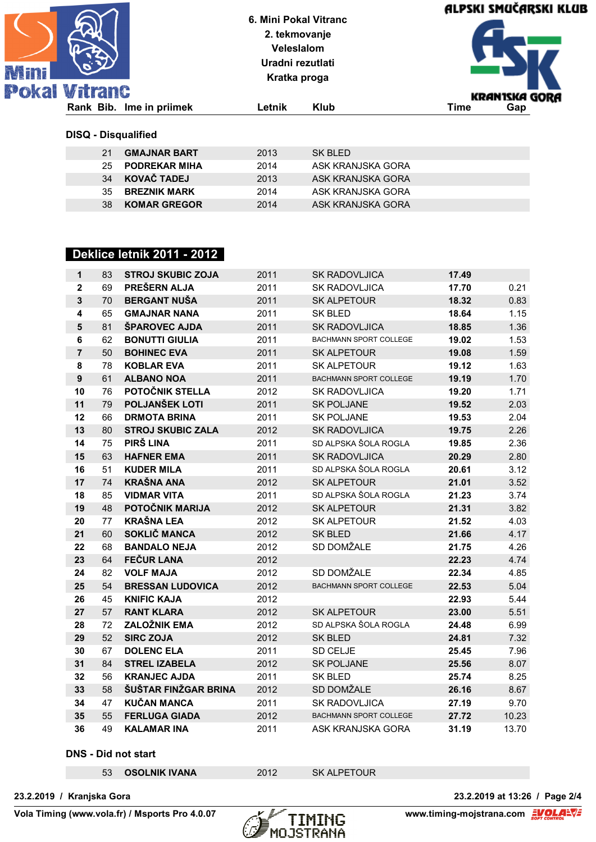| 论和 | <b>Pokal Vitranc</b>       |                          | 6. Mini Pokal Vitranc<br>2. tekmovanje<br><b>Veleslalom</b><br>Uradni rezutlati<br>Kratka proga |                   | ALPSKI SMUČARSKI KLUB |                      |
|----|----------------------------|--------------------------|-------------------------------------------------------------------------------------------------|-------------------|-----------------------|----------------------|
|    |                            | Rank Bib. Ime in priimek | Letnik                                                                                          | <b>Klub</b>       | Time                  | KRANISKA GORA<br>Gap |
|    | <b>DISQ - Disqualified</b> |                          |                                                                                                 |                   |                       |                      |
|    | 21                         | <b>GMAJNAR BART</b>      | 2013                                                                                            | SK BLED           |                       |                      |
|    | 25                         | <b>PODREKAR MIHA</b>     | 2014                                                                                            | ASK KRANJSKA GORA |                       |                      |
|    | 34                         | <b>KOVAČ TADEJ</b>       | 2013                                                                                            | ASK KRANJSKA GORA |                       |                      |
|    | 35                         | <b>BREZNIK MARK</b>      | 2014                                                                                            | ASK KRANJSKA GORA |                       |                      |
|    | 38                         | <b>KOMAR GREGOR</b>      | 2014                                                                                            | ASK KRANJSKA GORA |                       |                      |

## **Deklice letnik 2011 - 2012**

| 1                | 83 | <b>STROJ SKUBIC ZOJA</b> | 2011 | <b>SK RADOVLJICA</b>          | 17.49 |       |
|------------------|----|--------------------------|------|-------------------------------|-------|-------|
| $\overline{2}$   | 69 | PREŠERN ALJA             | 2011 | <b>SK RADOVLJICA</b>          | 17.70 | 0.21  |
| $\mathbf{3}$     | 70 | <b>BERGANT NUŠA</b>      | 2011 | <b>SK ALPETOUR</b>            | 18.32 | 0.83  |
| 4                | 65 | <b>GMAJNAR NANA</b>      | 2011 | <b>SK BLED</b>                | 18.64 | 1.15  |
| $5\phantom{1}$   | 81 | ŠPAROVEC AJDA            | 2011 | <b>SK RADOVLJICA</b>          | 18.85 | 1.36  |
| $\bf 6$          | 62 | <b>BONUTTI GIULIA</b>    | 2011 | <b>BACHMANN SPORT COLLEGE</b> | 19.02 | 1.53  |
| $\overline{7}$   | 50 | <b>BOHINEC EVA</b>       | 2011 | <b>SK ALPETOUR</b>            | 19.08 | 1.59  |
| 8                | 78 | <b>KOBLAR EVA</b>        | 2011 | <b>SK ALPETOUR</b>            | 19.12 | 1.63  |
| $\boldsymbol{9}$ | 61 | <b>ALBANO NOA</b>        | 2011 | <b>BACHMANN SPORT COLLEGE</b> | 19.19 | 1.70  |
| 10               | 76 | POTOČNIK STELLA          | 2012 | <b>SK RADOVLJICA</b>          | 19.20 | 1.71  |
| 11               | 79 | POLJANŠEK LOTI           | 2011 | <b>SK POLJANE</b>             | 19.52 | 2.03  |
| 12               | 66 | <b>DRMOTA BRINA</b>      | 2011 | <b>SK POLJANE</b>             | 19.53 | 2.04  |
| 13               | 80 | <b>STROJ SKUBIC ZALA</b> | 2012 | <b>SK RADOVLJICA</b>          | 19.75 | 2.26  |
| 14               | 75 | PIRŠ LINA                | 2011 | SD ALPSKA ŠOLA ROGLA          | 19.85 | 2.36  |
| 15               | 63 | <b>HAFNER EMA</b>        | 2011 | <b>SK RADOVLJICA</b>          | 20.29 | 2.80  |
| 16               | 51 | <b>KUDER MILA</b>        | 2011 | SD ALPSKA ŠOLA ROGLA          | 20.61 | 3.12  |
| 17               | 74 | <b>KRAŠNA ANA</b>        | 2012 | <b>SK ALPETOUR</b>            | 21.01 | 3.52  |
| 18               | 85 | <b>VIDMAR VITA</b>       | 2011 | SD ALPSKA ŠOLA ROGLA          | 21.23 | 3.74  |
| 19               | 48 | POTOČNIK MARIJA          | 2012 | <b>SK ALPETOUR</b>            | 21.31 | 3.82  |
| 20               | 77 | <b>KRAŠNA LEA</b>        | 2012 | <b>SK ALPETOUR</b>            | 21.52 | 4.03  |
| 21               | 60 | SOKLIČ MANCA             | 2012 | <b>SK BLED</b>                | 21.66 | 4.17  |
| 22               | 68 | <b>BANDALO NEJA</b>      | 2012 | SD DOMŽALE                    | 21.75 | 4.26  |
| 23               | 64 | <b>FEČUR LANA</b>        | 2012 |                               | 22.23 | 4.74  |
| 24               | 82 | <b>VOLF MAJA</b>         | 2012 | SD DOMŽALE                    | 22.34 | 4.85  |
| 25               | 54 | <b>BRESSAN LUDOVICA</b>  | 2012 | <b>BACHMANN SPORT COLLEGE</b> | 22.53 | 5.04  |
| 26               | 45 | <b>KNIFIC KAJA</b>       | 2012 |                               | 22.93 | 5.44  |
| 27               | 57 | <b>RANT KLARA</b>        | 2012 | <b>SK ALPETOUR</b>            | 23.00 | 5.51  |
| 28               | 72 | <b>ZALOŽNIK EMA</b>      | 2012 | SD ALPSKA ŠOLA ROGLA          | 24.48 | 6.99  |
| 29               | 52 | <b>SIRC ZOJA</b>         | 2012 | <b>SK BLED</b>                | 24.81 | 7.32  |
| 30               | 67 | <b>DOLENC ELA</b>        | 2011 | SD CELJE                      | 25.45 | 7.96  |
| 31               | 84 | <b>STREL IZABELA</b>     | 2012 | <b>SK POLJANE</b>             | 25.56 | 8.07  |
| 32               | 56 | <b>KRANJEC AJDA</b>      | 2011 | <b>SK BLED</b>                | 25.74 | 8.25  |
| 33               | 58 | ŠUŠTAR FINŽGAR BRINA     | 2012 | SD DOMŽALE                    | 26.16 | 8.67  |
| 34               | 47 | <b>KUČAN MANCA</b>       | 2011 | <b>SK RADOVLJICA</b>          | 27.19 | 9.70  |
| 35               | 55 | <b>FERLUGA GIADA</b>     | 2012 | BACHMANN SPORT COLLEGE        | 27.72 | 10.23 |
| 36               | 49 | <b>KALAMAR INA</b>       | 2011 | ASK KRANJSKA GORA             | 31.19 | 13.70 |

#### **DNS - Did not start**

**OSOLNIK IVANA** 2012 SK ALPETOUR



**23.2.2019 / Kranjska Gora 23.2.2019 at 13:26 / Page 2/4**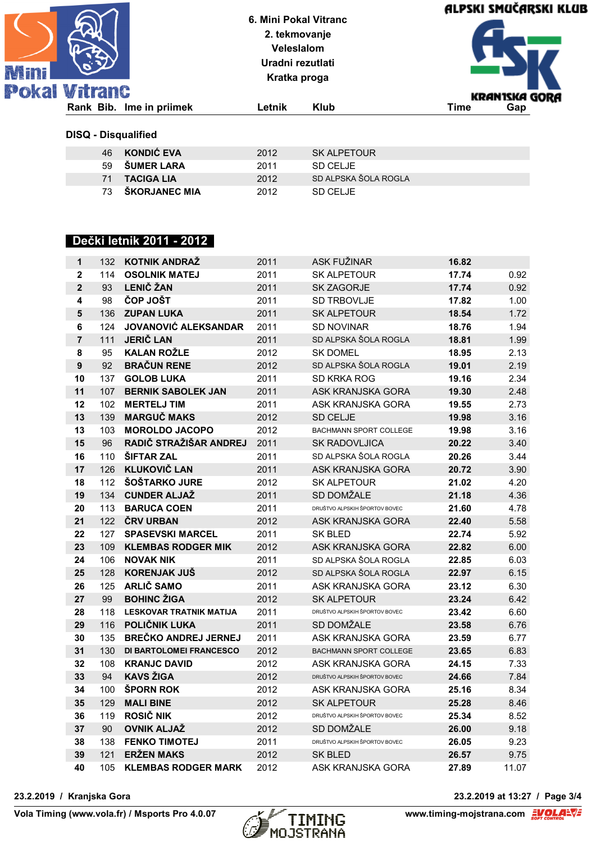| <b>TAIN</b> |              |
|-------------|--------------|
|             | okal Vitranc |
|             |              |

**Kratka proga**



#### **DISQ - Disqualified**

| 46 | KONDIĆ EVA       | 2012 | SK ALPETOUR          |
|----|------------------|------|----------------------|
|    | 59 SUMER LARA    | 2011 | SD CFLJF             |
|    | 71 TACIGA LIA    | 2012 | SD ALPSKA ŠOLA ROGLA |
|    | 73 ŠKORJANEC MIA | 2012 | SD CFLIF             |

## **Dečki letnik 2011 - 2012**

| $\mathbf{1}$            | 132 | <b>KOTNIK ANDRAZ</b>           | 2011 | ASK FUŽINAR                   | 16.82 |       |
|-------------------------|-----|--------------------------------|------|-------------------------------|-------|-------|
| $\overline{\mathbf{2}}$ | 114 | <b>OSOLNIK MATEJ</b>           | 2011 | <b>SK ALPETOUR</b>            | 17.74 | 0.92  |
| $\overline{2}$          | 93  | <b>LENIČ ŽAN</b>               | 2011 | SK ZAGORJE                    | 17.74 | 0.92  |
| 4                       | 98  | ČOP JOŠT                       | 2011 | SD TRBOVLJE                   | 17.82 | 1.00  |
| 5                       | 136 | <b>ZUPAN LUKA</b>              | 2011 | <b>SK ALPETOUR</b>            | 18.54 | 1.72  |
| 6                       | 124 | <b>JOVANOVIĆ ALEKSANDAR</b>    | 2011 | <b>SD NOVINAR</b>             | 18.76 | 1.94  |
| $\overline{7}$          | 111 | <b>JERIČ LAN</b>               | 2011 | SD ALPSKA ŠOLA ROGLA          | 18.81 | 1.99  |
| 8                       | 95  | <b>KALAN ROŽLE</b>             | 2012 | <b>SK DOMEL</b>               | 18.95 | 2.13  |
| 9                       | 92  | <b>BRAČUN RENE</b>             | 2012 | SD ALPSKA ŠOLA ROGLA          | 19.01 | 2.19  |
| 10                      | 137 | <b>GOLOB LUKA</b>              | 2011 | SD KRKA ROG                   | 19.16 | 2.34  |
| 11                      | 107 | <b>BERNIK SABOLEK JAN</b>      | 2011 | ASK KRANJSKA GORA             | 19.30 | 2.48  |
| 12                      | 102 | <b>MERTELJ TIM</b>             | 2011 | ASK KRANJSKA GORA             | 19.55 | 2.73  |
| 13                      | 139 | <b>MARGUC MAKS</b>             | 2012 | <b>SD CELJE</b>               | 19.98 | 3.16  |
| 13                      | 103 | <b>MOROLDO JACOPO</b>          | 2012 | <b>BACHMANN SPORT COLLEGE</b> | 19.98 | 3.16  |
| 15                      | 96  | RADIČ STRAŽIŠAR ANDREJ         | 2011 | <b>SK RADOVLJICA</b>          | 20.22 | 3.40  |
| 16                      | 110 | <b>SIFTAR ZAL</b>              | 2011 | SD ALPSKA ŠOLA ROGLA          | 20.26 | 3.44  |
| 17                      | 126 | <b>KLUKOVIČ LAN</b>            | 2011 | ASK KRANJSKA GORA             | 20.72 | 3.90  |
| 18                      | 112 | ŠOŠTARKO JURE                  | 2012 | <b>SK ALPETOUR</b>            | 21.02 | 4.20  |
| 19                      | 134 | <b>CUNDER ALJAŽ</b>            | 2011 | SD DOMŽALE                    | 21.18 | 4.36  |
| 20                      | 113 | <b>BARUCA COEN</b>             | 2011 | DRUŠTVO ALPSKIH ŠPORTOV BOVEC | 21.60 | 4.78  |
| 21                      | 122 | <b>ČRV URBAN</b>               | 2012 | ASK KRANJSKA GORA             | 22.40 | 5.58  |
| 22                      | 127 | <b>SPASEVSKI MARCEL</b>        | 2011 | <b>SK BLED</b>                | 22.74 | 5.92  |
| 23                      | 109 | <b>KLEMBAS RODGER MIK</b>      | 2012 | ASK KRANJSKA GORA             | 22.82 | 6.00  |
| 24                      | 106 | <b>NOVAK NIK</b>               | 2011 | SD ALPSKA ŠOLA ROGLA          | 22.85 | 6.03  |
| 25                      | 128 | <b>KORENJAK JUŠ</b>            | 2012 | SD ALPSKA ŠOLA ROGLA          | 22.97 | 6.15  |
| 26                      | 125 | <b>ARLIČ SAMO</b>              | 2011 | ASK KRANJSKA GORA             | 23.12 | 6.30  |
| 27                      | 99  | <b>BOHINC ŽIGA</b>             | 2012 | <b>SK ALPETOUR</b>            | 23.24 | 6.42  |
| 28                      | 118 | <b>LESKOVAR TRATNIK MATIJA</b> | 2011 | DRUŠTVO ALPSKIH ŠPORTOV BOVEC | 23.42 | 6.60  |
| 29                      | 116 | POLIČNIK LUKA                  | 2011 | SD DOMŽALE                    | 23.58 | 6.76  |
| 30                      | 135 | <b>BREČKO ANDREJ JERNEJ</b>    | 2011 | ASK KRANJSKA GORA             | 23.59 | 6.77  |
| 31                      | 130 | DI BARTOLOMEI FRANCESCO        | 2012 | <b>BACHMANN SPORT COLLEGE</b> | 23.65 | 6.83  |
| 32                      | 108 | <b>KRANJC DAVID</b>            | 2012 | ASK KRANJSKA GORA             | 24.15 | 7.33  |
| 33                      | 94  | <b>KAVS ŽIGA</b>               | 2012 | DRUŠTVO ALPSKIH ŠPORTOV BOVEC | 24.66 | 7.84  |
| 34                      | 100 | ŠPORN ROK                      | 2012 | ASK KRANJSKA GORA             | 25.16 | 8.34  |
| 35                      | 129 | <b>MALI BINE</b>               | 2012 | <b>SK ALPETOUR</b>            | 25.28 | 8.46  |
| 36                      | 119 | <b>ROSIČ NIK</b>               | 2012 | DRUŠTVO ALPSKIH ŠPORTOV BOVEC | 25.34 | 8.52  |
| 37                      | 90  | <b>OVNIK ALJAŽ</b>             | 2012 | SD DOMŽALE                    | 26.00 | 9.18  |
| 38                      | 138 | <b>FENKO TIMOTEJ</b>           | 2011 | DRUŠTVO ALPSKIH ŠPORTOV BOVEC | 26.05 | 9.23  |
| 39                      | 121 | <b>ERŽEN MAKS</b>              | 2012 | SK BLED                       | 26.57 | 9.75  |
| 40                      | 105 | <b>KLEMBAS RODGER MARK</b>     | 2012 | ASK KRANJSKA GORA             | 27.89 | 11.07 |



**23.2.2019 / Kranjska Gora 23.2.2019 at 13:27 / Page 3/4**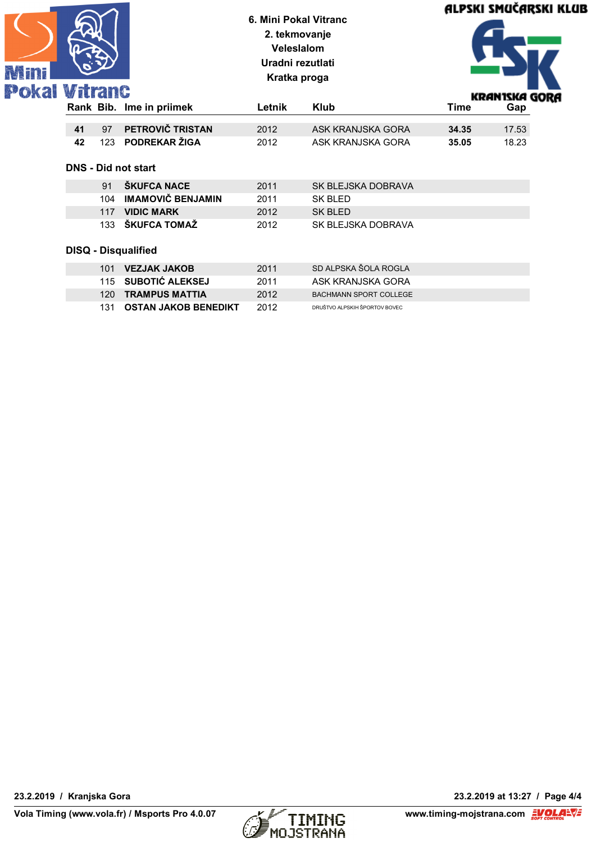|                      |    |     | 6. Mini Pokal Vitranc<br>2. tekmovanje<br>Veleslalom<br>Uradni rezutlati<br>Kratka proga |        |                               | ALPSKI SMUČARSKI KLUB |               |
|----------------------|----|-----|------------------------------------------------------------------------------------------|--------|-------------------------------|-----------------------|---------------|
| <b>Pokal Vitranc</b> |    |     |                                                                                          |        |                               |                       | KRANISKA GORA |
|                      |    |     | Rank Bib. Ime in priimek                                                                 | Letnik | <b>Klub</b>                   | <b>Time</b>           | Gap           |
|                      | 41 | 97  | PETROVIČ TRISTAN                                                                         | 2012   | ASK KRANJSKA GORA             | 34.35                 | 17.53         |
|                      | 42 | 123 | PODREKAR ŽIGA                                                                            | 2012   | ASK KRANJSKA GORA             | 35.05                 | 18.23         |
|                      |    |     | <b>DNS - Did not start</b>                                                               |        |                               |                       |               |
|                      |    | 91  | ŠKUFCA NACE                                                                              | 2011   | SK BLEJSKA DOBRAVA            |                       |               |
|                      |    | 104 | <b>IMAMOVIČ BENJAMIN</b>                                                                 | 2011   | <b>SK BLED</b>                |                       |               |
|                      |    | 117 | <b>VIDIC MARK</b>                                                                        | 2012   | <b>SK BLED</b>                |                       |               |
|                      |    | 133 | ŠKUFCA TOMAŽ                                                                             | 2012   | SK BLEJSKA DOBRAVA            |                       |               |
|                      |    |     | <b>DISQ - Disqualified</b>                                                               |        |                               |                       |               |
|                      |    | 101 | <b>VEZJAK JAKOB</b>                                                                      | 2011   | SD ALPSKA ŠOLA ROGLA          |                       |               |
|                      |    | 115 | SUBOTIĆ ALEKSEJ                                                                          | 2011   | ASK KRANJSKA GORA             |                       |               |
|                      |    | 120 | <b>TRAMPUS MATTIA</b>                                                                    | 2012   | <b>BACHMANN SPORT COLLEGE</b> |                       |               |
|                      |    | 131 | <b>OSTAN JAKOB BENEDIKT</b>                                                              | 2012   | DRUŠTVO ALPSKIH ŠPORTOV BOVEC |                       |               |

K. 1



**23.2.2019 / Kranjska Gora 23.2.2019 at 13:27 / Page 4/4**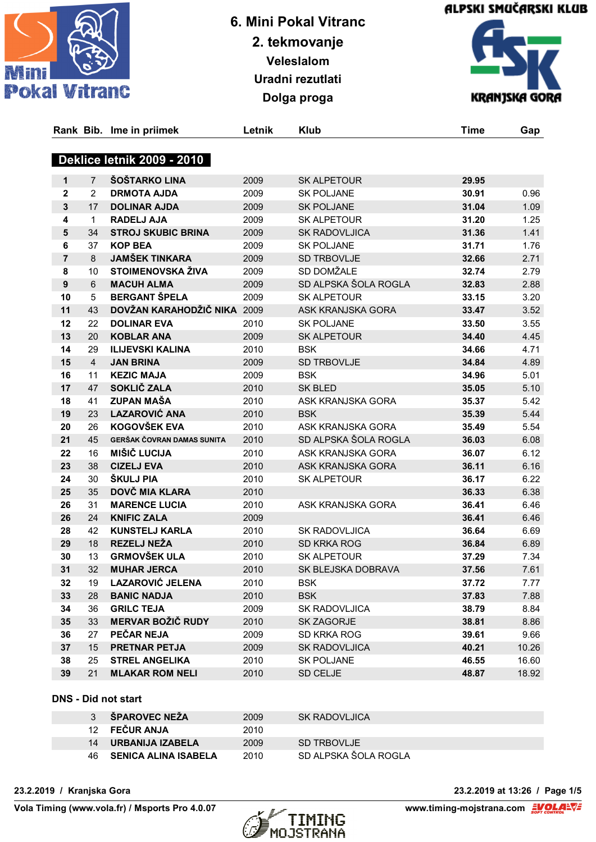





|                |                | Rank Bib. Ime in priimek          | Letnik | Klub                 | <b>Time</b> | Gap   |
|----------------|----------------|-----------------------------------|--------|----------------------|-------------|-------|
|                |                | <b>Deklice letnik 2009 - 2010</b> |        |                      |             |       |
| 1              | 7              | <b>ŠOŠTARKO LINA</b>              | 2009   | <b>SK ALPETOUR</b>   | 29.95       |       |
| $\mathbf{2}$   | 2              | <b>DRMOTA AJDA</b>                | 2009   | <b>SK POLJANE</b>    | 30.91       | 0.96  |
| 3              | 17             | <b>DOLINAR AJDA</b>               | 2009   | <b>SK POLJANE</b>    | 31.04       | 1.09  |
| 4              | 1              | <b>RADELJ AJA</b>                 | 2009   | SK ALPETOUR          | 31.20       | 1.25  |
| 5              | 34             | <b>STROJ SKUBIC BRINA</b>         | 2009   | <b>SK RADOVLJICA</b> | 31.36       | 1.41  |
| 6              | 37             | <b>KOP BEA</b>                    | 2009   | <b>SK POLJANE</b>    | 31.71       | 1.76  |
| $\overline{7}$ | 8              | <b>JAMŠEK TINKARA</b>             | 2009   | SD TRBOVLJE          | 32.66       | 2.71  |
| 8              | 10             | <b>STOIMENOVSKA ŽIVA</b>          | 2009   | SD DOMŽALE           | 32.74       | 2.79  |
| $\mathbf{9}$   | 6              | <b>MACUH ALMA</b>                 | 2009   | SD ALPSKA ŠOLA ROGLA | 32.83       | 2.88  |
| 10             | 5              | <b>BERGANT ŠPELA</b>              | 2009   | <b>SK ALPETOUR</b>   | 33.15       | 3.20  |
| 11             | 43             | DOVŽAN KARAHODŽIČ NIKA 2009       |        | ASK KRANJSKA GORA    | 33.47       | 3.52  |
| 12             | 22             | <b>DOLINAR EVA</b>                | 2010   | <b>SK POLJANE</b>    | 33.50       | 3.55  |
| 13             | 20             | <b>KOBLAR ANA</b>                 | 2009   | <b>SK ALPETOUR</b>   | 34.40       | 4.45  |
| 14             | 29             | <b>ILIJEVSKI KALINA</b>           | 2010   | <b>BSK</b>           | 34.66       | 4.71  |
| 15             | $\overline{4}$ | <b>JAN BRINA</b>                  | 2009   | SD TRBOVLJE          | 34.84       | 4.89  |
| 16             | 11             | <b>KEZIC MAJA</b>                 | 2009   | <b>BSK</b>           | 34.96       | 5.01  |
| 17             | 47             | SOKLIČ ZALA                       | 2010   | <b>SK BLED</b>       | 35.05       | 5.10  |
| 18             | 41             | <b>ZUPAN MAŠA</b>                 | 2010   | ASK KRANJSKA GORA    | 35.37       | 5.42  |
| 19             | 23             | <b>LAZAROVIĆ ANA</b>              | 2010   | <b>BSK</b>           | 35.39       | 5.44  |
| 20             | 26             | <b>KOGOVŠEK EVA</b>               | 2010   | ASK KRANJSKA GORA    | 35.49       | 5.54  |
| 21             | 45             | GERŠAK ČOVRAN DAMAS SUNITA        | 2010   | SD ALPSKA ŠOLA ROGLA | 36.03       | 6.08  |
| 22             | 16             | <b>MIŠIČ LUCIJA</b>               | 2010   | ASK KRANJSKA GORA    | 36.07       | 6.12  |
| 23             | 38             | <b>CIZELJ EVA</b>                 | 2010   | ASK KRANJSKA GORA    | 36.11       | 6.16  |
| 24             | 30             | ŠKULJ PIA                         | 2010   | <b>SK ALPETOUR</b>   | 36.17       | 6.22  |
| 25             | 35             | DOVČ MIA KLARA                    | 2010   |                      | 36.33       | 6.38  |
| 26             | 31             | <b>MARENCE LUCIA</b>              | 2010   | ASK KRANJSKA GORA    | 36.41       | 6.46  |
| 26             | 24             | <b>KNIFIC ZALA</b>                | 2009   |                      | 36.41       | 6.46  |
| 28             | 42             | <b>KUNSTELJ KARLA</b>             | 2010   | <b>SK RADOVLJICA</b> | 36.64       | 6.69  |
| 29             | 18             | <b>REZELJ NEŽA</b>                | 2010   | SD KRKA ROG          | 36.84       | 6.89  |
| 30             | 13             | <b>GRMOVŠEK ULA</b>               | 2010   | <b>SK ALPETOUR</b>   | 37.29       | 7.34  |
| 31             | 32             | <b>MUHAR JERCA</b>                | 2010   | SK BLEJSKA DOBRAVA   | 37.56       | 7.61  |
| 32             | 19             | <b>LAZAROVIĆ JELENA</b>           | 2010   | <b>BSK</b>           | 37.72       | 7.77  |
| 33             | 28             | <b>BANIC NADJA</b>                | 2010   | <b>BSK</b>           | 37.83       | 7.88  |
| 34             | 36             | <b>GRILC TEJA</b>                 | 2009   | SK RADOVLJICA        | 38.79       | 8.84  |
| 35             | 33             | <b>MERVAR BOŽIČ RUDY</b>          | 2010   | SK ZAGORJE           | 38.81       | 8.86  |
| 36             | 27             | PEČAR NEJA                        | 2009   | SD KRKA ROG          | 39.61       | 9.66  |
| 37             | 15             | PRETNAR PETJA                     | 2009   | SK RADOVLJICA        | 40.21       | 10.26 |
| 38             | 25             | <b>STREL ANGELIKA</b>             | 2010   | <b>SK POLJANE</b>    | 46.55       | 16.60 |
| 39             | 21             | <b>MLAKAR ROM NELI</b>            | 2010   | SD CELJE             | 48.87       | 18.92 |

#### **DNS - Did not start**

| <b>SPAROVEC NEŽA</b>    | 2009 | <b>SK RADOVLJICA</b> |
|-------------------------|------|----------------------|
| 12 FEČUR ANJA           | 2010 |                      |
| 14 URBANIJA IZABELA     | 2009 | SD TRBOVLJE          |
| 46 SENICA ALINA ISABELA | 2010 | SD ALPSKA ŠOLA ROGLA |



**23.2.2019 / Kranjska Gora 23.2.2019 at 13:26 / Page 1/5**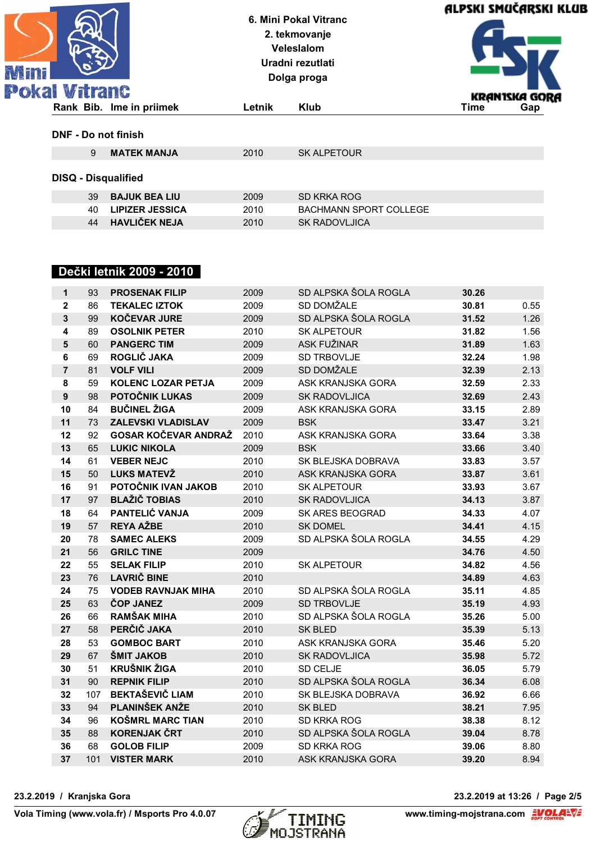| 科科科 |                            |                          | 6. Mini Pokal Vitranc<br>2. tekmovanje<br><b>Veleslalom</b><br>Uradni rezutlati<br>Dolga proga |                    | ALPSKI SMUČARSKI KLUB |               |
|-----|----------------------------|--------------------------|------------------------------------------------------------------------------------------------|--------------------|-----------------------|---------------|
|     | <b>Pokal Vitranc</b>       |                          |                                                                                                |                    |                       | KRANISKA GORA |
|     |                            | Rank Bib. Ime in priimek | Letnik                                                                                         | <b>Klub</b>        | <b>Time</b>           | Gap           |
|     | DNF - Do not finish        |                          |                                                                                                |                    |                       |               |
|     | 9                          | <b>MATEK MANJA</b>       | 2010                                                                                           | <b>SK ALPETOUR</b> |                       |               |
|     | <b>DISQ - Disqualified</b> |                          |                                                                                                |                    |                       |               |

| 39 | <b>BAJUK BEA LIU</b>   | 2009 | SD KRKA ROG                   |
|----|------------------------|------|-------------------------------|
| 40 | <b>LIPIZER JESSICA</b> | 2010 | <b>BACHMANN SPORT COLLEGE</b> |
|    | 44 HAVLIČEK NEJA       | 2010 | <b>SK RADOVLJICA</b>          |

# **Dečki letnik 2009 - 2010**

| 93  | <b>PROSENAK FILIP</b>             | 2009                                                                                                                                                                                                                                                                                                                                                                                                                       | SD ALPSKA ŠOLA ROGLA                                                                                 | 30.26                                                                                                                                                                                                                              |                                                                               |
|-----|-----------------------------------|----------------------------------------------------------------------------------------------------------------------------------------------------------------------------------------------------------------------------------------------------------------------------------------------------------------------------------------------------------------------------------------------------------------------------|------------------------------------------------------------------------------------------------------|------------------------------------------------------------------------------------------------------------------------------------------------------------------------------------------------------------------------------------|-------------------------------------------------------------------------------|
| 86  | <b>TEKALEC IZTOK</b>              | 2009                                                                                                                                                                                                                                                                                                                                                                                                                       | SD DOMŽALE                                                                                           | 30.81                                                                                                                                                                                                                              | 0.55                                                                          |
| 99  | <b>KOČEVAR JURE</b>               | 2009                                                                                                                                                                                                                                                                                                                                                                                                                       | SD ALPSKA ŠOLA ROGLA                                                                                 | 31.52                                                                                                                                                                                                                              | 1.26                                                                          |
| 89  | <b>OSOLNIK PETER</b>              | 2010                                                                                                                                                                                                                                                                                                                                                                                                                       | <b>SK ALPETOUR</b>                                                                                   | 31.82                                                                                                                                                                                                                              | 1.56                                                                          |
| 60  | <b>PANGERC TIM</b>                | 2009                                                                                                                                                                                                                                                                                                                                                                                                                       | ASK FUŽINAR                                                                                          | 31.89                                                                                                                                                                                                                              | 1.63                                                                          |
| 69  | ROGLIČ JAKA                       | 2009                                                                                                                                                                                                                                                                                                                                                                                                                       | SD TRBOVLJE                                                                                          | 32.24                                                                                                                                                                                                                              | 1.98                                                                          |
| 81  | <b>VOLF VILI</b>                  | 2009                                                                                                                                                                                                                                                                                                                                                                                                                       | SD DOMŽALE                                                                                           | 32.39                                                                                                                                                                                                                              | 2.13                                                                          |
| 59  | <b>KOLENC LOZAR PETJA</b>         | 2009                                                                                                                                                                                                                                                                                                                                                                                                                       | ASK KRANJSKA GORA                                                                                    | 32.59                                                                                                                                                                                                                              | 2.33                                                                          |
| 98  | POTOČNIK LUKAS                    | 2009                                                                                                                                                                                                                                                                                                                                                                                                                       | <b>SK RADOVLJICA</b>                                                                                 | 32.69                                                                                                                                                                                                                              | 2.43                                                                          |
| 84  |                                   | 2009                                                                                                                                                                                                                                                                                                                                                                                                                       | ASK KRANJSKA GORA                                                                                    | 33.15                                                                                                                                                                                                                              | 2.89                                                                          |
| 73  | <b>ZALEVSKI VLADISLAV</b>         | 2009                                                                                                                                                                                                                                                                                                                                                                                                                       | <b>BSK</b>                                                                                           | 33.47                                                                                                                                                                                                                              | 3.21                                                                          |
| 92  |                                   | 2010                                                                                                                                                                                                                                                                                                                                                                                                                       | ASK KRANJSKA GORA                                                                                    | 33.64                                                                                                                                                                                                                              | 3.38                                                                          |
| 65  | <b>LUKIC NIKOLA</b>               | 2009                                                                                                                                                                                                                                                                                                                                                                                                                       | <b>BSK</b>                                                                                           | 33.66                                                                                                                                                                                                                              | 3.40                                                                          |
| 61  | <b>VEBER NEJC</b>                 | 2010                                                                                                                                                                                                                                                                                                                                                                                                                       | SK BLEJSKA DOBRAVA                                                                                   | 33.83                                                                                                                                                                                                                              | 3.57                                                                          |
| 50  |                                   | 2010                                                                                                                                                                                                                                                                                                                                                                                                                       | ASK KRANJSKA GORA                                                                                    | 33.87                                                                                                                                                                                                                              | 3.61                                                                          |
| 91  |                                   | 2010                                                                                                                                                                                                                                                                                                                                                                                                                       | <b>SK ALPETOUR</b>                                                                                   | 33.93                                                                                                                                                                                                                              | 3.67                                                                          |
| 97  |                                   |                                                                                                                                                                                                                                                                                                                                                                                                                            |                                                                                                      |                                                                                                                                                                                                                                    | 3.87                                                                          |
| 64  |                                   | 2009                                                                                                                                                                                                                                                                                                                                                                                                                       |                                                                                                      | 34.33                                                                                                                                                                                                                              | 4.07                                                                          |
| 57  |                                   | 2010                                                                                                                                                                                                                                                                                                                                                                                                                       | <b>SK DOMEL</b>                                                                                      |                                                                                                                                                                                                                                    | 4.15                                                                          |
| 78  |                                   |                                                                                                                                                                                                                                                                                                                                                                                                                            |                                                                                                      | 34.55                                                                                                                                                                                                                              | 4.29                                                                          |
| 56  | <b>GRILC TINE</b>                 |                                                                                                                                                                                                                                                                                                                                                                                                                            |                                                                                                      |                                                                                                                                                                                                                                    | 4.50                                                                          |
| 55  |                                   |                                                                                                                                                                                                                                                                                                                                                                                                                            | SK ALPETOUR                                                                                          |                                                                                                                                                                                                                                    | 4.56                                                                          |
| 76  |                                   |                                                                                                                                                                                                                                                                                                                                                                                                                            |                                                                                                      | 34.89                                                                                                                                                                                                                              | 4.63                                                                          |
| 75  |                                   |                                                                                                                                                                                                                                                                                                                                                                                                                            |                                                                                                      | 35.11                                                                                                                                                                                                                              | 4.85                                                                          |
|     |                                   |                                                                                                                                                                                                                                                                                                                                                                                                                            |                                                                                                      |                                                                                                                                                                                                                                    | 4.93                                                                          |
| 66  |                                   |                                                                                                                                                                                                                                                                                                                                                                                                                            |                                                                                                      | 35.26                                                                                                                                                                                                                              | 5.00                                                                          |
|     |                                   |                                                                                                                                                                                                                                                                                                                                                                                                                            |                                                                                                      |                                                                                                                                                                                                                                    | 5.13                                                                          |
| 53  |                                   | 2010                                                                                                                                                                                                                                                                                                                                                                                                                       | ASK KRANJSKA GORA                                                                                    | 35.46                                                                                                                                                                                                                              | 5.20                                                                          |
|     |                                   |                                                                                                                                                                                                                                                                                                                                                                                                                            |                                                                                                      | 35.98                                                                                                                                                                                                                              | 5.72                                                                          |
|     |                                   |                                                                                                                                                                                                                                                                                                                                                                                                                            |                                                                                                      |                                                                                                                                                                                                                                    | 5.79                                                                          |
|     |                                   |                                                                                                                                                                                                                                                                                                                                                                                                                            |                                                                                                      |                                                                                                                                                                                                                                    | 6.08                                                                          |
|     |                                   |                                                                                                                                                                                                                                                                                                                                                                                                                            |                                                                                                      |                                                                                                                                                                                                                                    | 6.66                                                                          |
| 94  | PLANINŠEK ANŽE                    | 2010                                                                                                                                                                                                                                                                                                                                                                                                                       | <b>SK BLED</b>                                                                                       | 38.21                                                                                                                                                                                                                              | 7.95                                                                          |
| 96  | <b>KOŠMRL MARC TIAN</b>           | 2010                                                                                                                                                                                                                                                                                                                                                                                                                       | SD KRKA ROG                                                                                          | 38.38                                                                                                                                                                                                                              | 8.12                                                                          |
| 88  | <b>KORENJAK ČRT</b>               | 2010                                                                                                                                                                                                                                                                                                                                                                                                                       | SD ALPSKA ŠOLA ROGLA                                                                                 | 39.04                                                                                                                                                                                                                              | 8.78                                                                          |
| 68  | <b>GOLOB FILIP</b>                | 2009                                                                                                                                                                                                                                                                                                                                                                                                                       | SD KRKA ROG                                                                                          | 39.06                                                                                                                                                                                                                              | 8.80                                                                          |
| 101 | <b>VISTER MARK</b>                | 2010                                                                                                                                                                                                                                                                                                                                                                                                                       | ASK KRANJSKA GORA                                                                                    | 39.20                                                                                                                                                                                                                              | 8.94                                                                          |
|     | 63<br>58<br>67<br>51<br>90<br>107 | <b>BUČINEL ŽIGA</b><br><b>GOSAR KOČEVAR ANDRAŽ</b><br><b>LUKS MATEVŽ</b><br>POTOČNIK IVAN JAKOB<br><b>BLAŽIČ TOBIAS</b><br>PANTELIĆ VANJA<br><b>REYA AŽBE</b><br><b>SAMEC ALEKS</b><br><b>SELAK FILIP</b><br><b>LAVRIČ BINE</b><br><b>VODEB RAVNJAK MIHA</b><br>ČOP JANEZ<br><b>RAMŠAK MIHA</b><br>PERČIČ JAKA<br><b>GOMBOC BART</b><br>ŠMIT JAKOB<br><b>KRUŠNIK ŽIGA</b><br><b>REPNIK FILIP</b><br><b>BEKTAŠEVIČ LIAM</b> | 2010<br>2009<br>2009<br>2010<br>2010<br>2010<br>2009<br>2010<br>2010<br>2010<br>2010<br>2010<br>2010 | <b>SK RADOVLJICA</b><br>SK ARES BEOGRAD<br>SD ALPSKA ŠOLA ROGLA<br>SD ALPSKA ŠOLA ROGLA<br>SD TRBOVLJE<br>SD ALPSKA ŠOLA ROGLA<br><b>SK BLED</b><br><b>SK RADOVLJICA</b><br>SD CELJE<br>SD ALPSKA ŠOLA ROGLA<br>SK BLEJSKA DOBRAVA | 34.13<br>34.41<br>34.76<br>34.82<br>35.19<br>35.39<br>36.05<br>36.34<br>36.92 |



**23.2.2019 / Kranjska Gora 23.2.2019 at 13:26 / Page 2/5**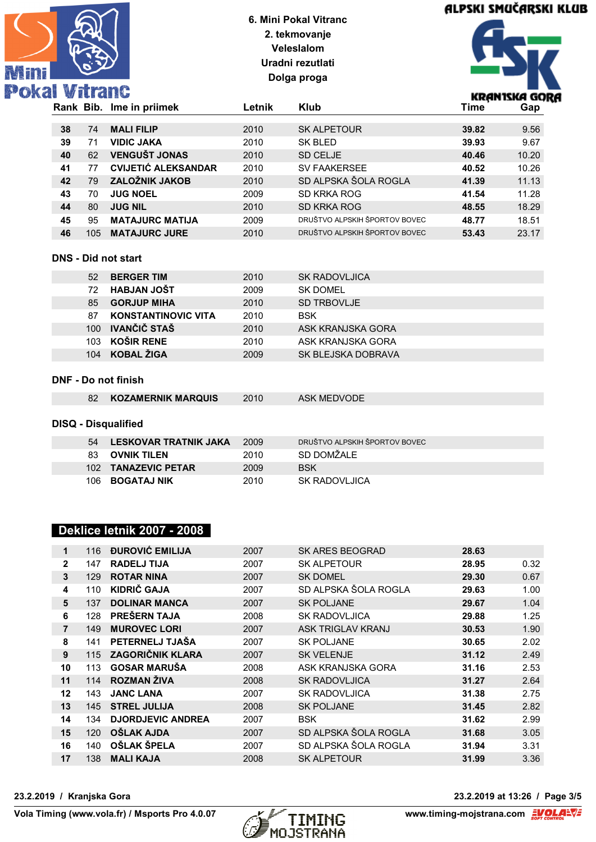

# ALPSKI SMUČARSKI KLUB



| Rank Bib. |     | Ime in priimek             | ∟etnik | <b>Klub</b>                   | Time  | Gap   |
|-----------|-----|----------------------------|--------|-------------------------------|-------|-------|
|           |     |                            |        |                               |       |       |
| 38        | 74  | <b>MALI FILIP</b>          | 2010   | <b>SK ALPETOUR</b>            | 39.82 | 9.56  |
| 39        | 71  | <b>VIDIC JAKA</b>          | 2010   | SK BLED                       | 39.93 | 9.67  |
| 40        | 62  | <b>VENGUŠT JONAS</b>       | 2010   | <b>SD CELJE</b>               | 40.46 | 10.20 |
| 41        | 77  | <b>CVIJETIĆ ALEKSANDAR</b> | 2010   | <b>SV FAAKERSEE</b>           | 40.52 | 10.26 |
| 42        | 79  | <b>ZALOŽNIK JAKOB</b>      | 2010   | SD ALPSKA ŠOLA ROGLA          | 41.39 | 11.13 |
| 43        | 70  | <b>JUG NOEL</b>            | 2009   | SD KRKA ROG                   | 41.54 | 11.28 |
| 44        | 80  | <b>JUG NIL</b>             | 2010   | SD KRKA ROG                   | 48.55 | 18.29 |
| 45        | 95  | <b>MATAJURC MATIJA</b>     | 2009   | DRUŠTVO ALPSKIH ŠPORTOV BOVEC | 48.77 | 18.51 |
| 46        | 105 | <b>MATAJURC JURE</b>       | 2010   | DRUŠTVO ALPSKIH ŠPORTOV BOVEC | 53.43 | 23.17 |

## **DNS - Did not start**

| 52               | <b>BERGER TIM</b>          | 2010 | <b>SK RADOVLJICA</b> |
|------------------|----------------------------|------|----------------------|
| 72.              | <b>HABJAN JOŠT</b>         | 2009 | <b>SK DOMEL</b>      |
| 85.              | <b>GORJUP MIHA</b>         | 2010 | <b>SD TRBOVLJE</b>   |
| 87               | <b>KONSTANTINOVIC VITA</b> | 2010 | <b>BSK</b>           |
| $100 -$          | IVANČIČ STAŠ               | 2010 | ASK KRANJSKA GORA    |
| 103 <sub>1</sub> | KOŠIR RENE                 | 2010 | ASK KRANJSKA GORA    |
| 104              | KOBAL ŽIGA                 | 2009 | SK BLEJSKA DOBRAVA   |

#### **DNF - Do not finish**

| 82 | <b>KOZAMERNIK MARQUIS</b>  | 2010 | ASK MEDVODE                   |
|----|----------------------------|------|-------------------------------|
|    | <b>DISQ - Disqualified</b> |      |                               |
| 54 | LESKOVAR TRATNIK JAKA      | 2009 | DRUŠTVO ALPSKIH ŠPORTOV BOVEC |

|    | 54 LESKOVAR IRAINIK JAKA | 2009 | DRUSTVO ALPSKIH SPORTOV BOVEC |
|----|--------------------------|------|-------------------------------|
| 83 | OVNIK TILEN              | 2010 | SD DOMŽALE.                   |
|    | 102 TANAZEVIC PETAR      | 2009 | BSK                           |
|    | 106 BOGATAJ NIK          | 2010 | SK RADOVLJICA                 |

### **Deklice letnik 2007 - 2008**

| 1              | 116 | <b>ĐUROVIĆ EMILIJA</b>   | 2007 | <b>SK ARES BEOGRAD</b> | 28.63 |      |
|----------------|-----|--------------------------|------|------------------------|-------|------|
| $\mathbf{2}$   | 147 | <b>RADELJ TIJA</b>       | 2007 | SK ALPETOUR            | 28.95 | 0.32 |
| 3              | 129 | <b>ROTAR NINA</b>        | 2007 | <b>SK DOMEL</b>        | 29.30 | 0.67 |
| 4              | 110 | KIDRIČ GAJA              | 2007 | SD ALPSKA ŠOLA ROGLA   | 29.63 | 1.00 |
| 5              | 137 | <b>DOLINAR MANCA</b>     | 2007 | <b>SK POLJANE</b>      | 29.67 | 1.04 |
| 6              | 128 | <b>PREŠERN TAJA</b>      | 2008 | <b>SK RADOVLJICA</b>   | 29.88 | 1.25 |
| $\overline{7}$ | 149 | <b>MUROVEC LORI</b>      | 2007 | ASK TRIGLAV KRANJ      | 30.53 | 1.90 |
| 8              | 141 | PETERNELJ TJAŠA          | 2007 | <b>SK POLJANE</b>      | 30.65 | 2.02 |
| 9              | 115 | <b>ZAGORIČNIK KLARA</b>  | 2007 | <b>SK VELENJE</b>      | 31.12 | 2.49 |
| 10             | 113 | <b>GOSAR MARUŠA</b>      | 2008 | ASK KRANJSKA GORA      | 31.16 | 2.53 |
| 11             | 114 | <b>ROZMAN ŽIVA</b>       | 2008 | <b>SK RADOVLJICA</b>   | 31.27 | 2.64 |
| 12             | 143 | <b>JANC LANA</b>         | 2007 | <b>SK RADOVLJICA</b>   | 31.38 | 2.75 |
| 13             | 145 | <b>STREL JULIJA</b>      | 2008 | <b>SK POLJANE</b>      | 31.45 | 2.82 |
| 14             | 134 | <b>DJORDJEVIC ANDREA</b> | 2007 | <b>BSK</b>             | 31.62 | 2.99 |
| 15             | 120 | <b>OŠLAK AJDA</b>        | 2007 | SD ALPSKA ŠOLA ROGLA   | 31.68 | 3.05 |
| 16             | 140 | <b>OŠLAK ŠPELA</b>       | 2007 | SD ALPSKA ŠOLA ROGLA   | 31.94 | 3.31 |
| 17             | 138 | <b>MALI KAJA</b>         | 2008 | <b>SK ALPETOUR</b>     | 31.99 | 3.36 |



**23.2.2019 / Kranjska Gora 23.2.2019 at 13:26 / Page 3/5**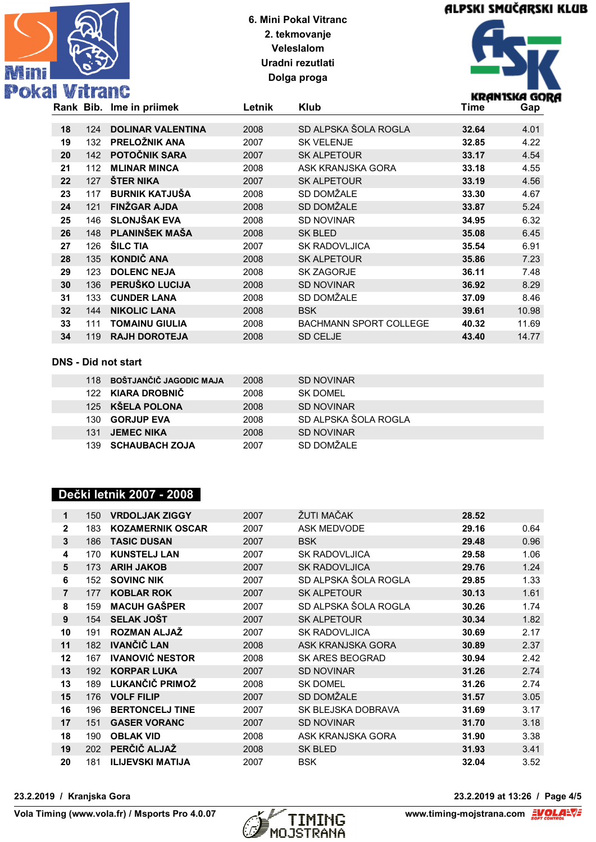

# ALPSKI SMUČARSKI KLUB



|    |     | Rank Bib. Ime in priimek | Letnik | <b>Klub</b>                   | Time  | Gap   |
|----|-----|--------------------------|--------|-------------------------------|-------|-------|
|    |     |                          |        |                               |       |       |
| 18 | 124 | <b>DOLINAR VALENTINA</b> | 2008   | SD ALPSKA ŠOLA ROGLA          | 32.64 | 4.01  |
| 19 | 132 | PRELOŽNIK ANA            | 2007   | <b>SK VELENJE</b>             | 32.85 | 4.22  |
| 20 | 142 | POTOČNIK SARA            | 2007   | <b>SK ALPETOUR</b>            | 33.17 | 4.54  |
| 21 | 112 | <b>MLINAR MINCA</b>      | 2008   | ASK KRANJSKA GORA             | 33.18 | 4.55  |
| 22 | 127 | <b>STER NIKA</b>         | 2007   | <b>SK ALPETOUR</b>            | 33.19 | 4.56  |
| 23 | 117 | <b>BURNIK KATJUŠA</b>    | 2008   | SD DOMŽALE                    | 33.30 | 4.67  |
| 24 | 121 | <b>FINZGAR AJDA</b>      | 2008   | SD DOMŽALE                    | 33.87 | 5.24  |
| 25 | 146 | <b>SLONJŠAK EVA</b>      | 2008   | <b>SD NOVINAR</b>             | 34.95 | 6.32  |
| 26 | 148 | PLANINŠEK MAŠA           | 2008   | SK BLED                       | 35.08 | 6.45  |
| 27 | 126 | <b>SILC TIA</b>          | 2007   | <b>SK RADOVLJICA</b>          | 35.54 | 6.91  |
| 28 | 135 | KONDIČ ANA               | 2008   | <b>SK ALPETOUR</b>            | 35.86 | 7.23  |
| 29 | 123 | <b>DOLENC NEJA</b>       | 2008   | <b>SK ZAGORJE</b>             | 36.11 | 7.48  |
| 30 | 136 | PERUŠKO LUCIJA           | 2008   | <b>SD NOVINAR</b>             | 36.92 | 8.29  |
| 31 | 133 | <b>CUNDER LANA</b>       | 2008   | SD DOMŽALE                    | 37.09 | 8.46  |
| 32 | 144 | <b>NIKOLIC LANA</b>      | 2008   | <b>BSK</b>                    | 39.61 | 10.98 |
| 33 | 111 | <b>TOMAINU GIULIA</b>    | 2008   | <b>BACHMANN SPORT COLLEGE</b> | 40.32 | 11.69 |
| 34 | 119 | <b>RAJH DOROTEJA</b>     | 2008   | <b>SD CELJE</b>               | 43.40 | 14.77 |
|    |     |                          |        |                               |       |       |

#### **DNS - Did not start**

| 118  | BOŠTJANČIČ JAGODIC MAJA | 2008 | SD NOVINAR           |
|------|-------------------------|------|----------------------|
|      | 122 KIARA DROBNIČ       | 2008 | SK DOMFI             |
|      | 125 KŠELA POLONA        | 2008 | <b>SD NOVINAR</b>    |
| 130. | <b>GORJUP EVA</b>       | 2008 | SD ALPSKA ŠOLA ROGLA |
| 131  | <b>JEMEC NIKA</b>       | 2008 | <b>SD NOVINAR</b>    |
| 139  | <b>SCHAUBACH ZOJA</b>   | 2007 | SD DOMŽALE           |

## **Dečki letnik 2007 - 2008**

| 1              | 150 | <b>VRDOLJAK ZIGGY</b>   | 2007 | ŽUTI MAČAK             | 28.52 |      |
|----------------|-----|-------------------------|------|------------------------|-------|------|
| $\overline{2}$ | 183 | <b>KOZAMERNIK OSCAR</b> | 2007 | <b>ASK MEDVODE</b>     | 29.16 | 0.64 |
| 3              | 186 | <b>TASIC DUSAN</b>      | 2007 | <b>BSK</b>             | 29.48 | 0.96 |
| 4              | 170 | <b>KUNSTELJ LAN</b>     | 2007 | <b>SK RADOVLJICA</b>   | 29.58 | 1.06 |
| 5              | 173 | <b>ARIH JAKOB</b>       | 2007 | <b>SK RADOVLJICA</b>   | 29.76 | 1.24 |
| 6              | 152 | <b>SOVING NIK</b>       | 2007 | SD ALPSKA ŠOLA ROGLA   | 29.85 | 1.33 |
| $\overline{7}$ | 177 | <b>KOBLAR ROK</b>       | 2007 | <b>SK ALPETOUR</b>     | 30.13 | 1.61 |
| 8              | 159 | <b>MACUH GAŠPER</b>     | 2007 | SD ALPSKA ŠOLA ROGLA   | 30.26 | 1.74 |
| 9              | 154 | <b>SELAK JOŠT</b>       | 2007 | <b>SK ALPETOUR</b>     | 30.34 | 1.82 |
| 10             | 191 | <b>ROZMAN ALJAŽ</b>     | 2007 | <b>SK RADOVLJICA</b>   | 30.69 | 2.17 |
| 11             | 182 | <b>IVANČIČ LAN</b>      | 2008 | ASK KRANJSKA GORA      | 30.89 | 2.37 |
| 12             | 167 | <b>IVANOVIĆ NESTOR</b>  | 2008 | <b>SK ARES BEOGRAD</b> | 30.94 | 2.42 |
| 13             | 192 | <b>KORPAR LUKA</b>      | 2007 | <b>SD NOVINAR</b>      | 31.26 | 2.74 |
| 13             | 189 | LUKANČIČ PRIMOŽ         | 2008 | <b>SK DOMEL</b>        | 31.26 | 2.74 |
| 15             | 176 | <b>VOLF FILIP</b>       | 2007 | SD DOMŽALE             | 31.57 | 3.05 |
| 16             | 196 | <b>BERTONCELJ TINE</b>  | 2007 | SK BLEJSKA DOBRAVA     | 31.69 | 3.17 |
| 17             | 151 | <b>GASER VORANC</b>     | 2007 | <b>SD NOVINAR</b>      | 31.70 | 3.18 |
| 18             | 190 | <b>OBLAK VID</b>        | 2008 | ASK KRANJSKA GORA      | 31.90 | 3.38 |
| 19             | 202 | PERČIČ ALJAŽ            | 2008 | <b>SK BLED</b>         | 31.93 | 3.41 |
| 20             | 181 | <b>ILIJEVSKI MATIJA</b> | 2007 | <b>BSK</b>             | 32.04 | 3.52 |
|                |     |                         |      |                        |       |      |



**23.2.2019 / Kranjska Gora 23.2.2019 at 13:26 / Page 4/5**